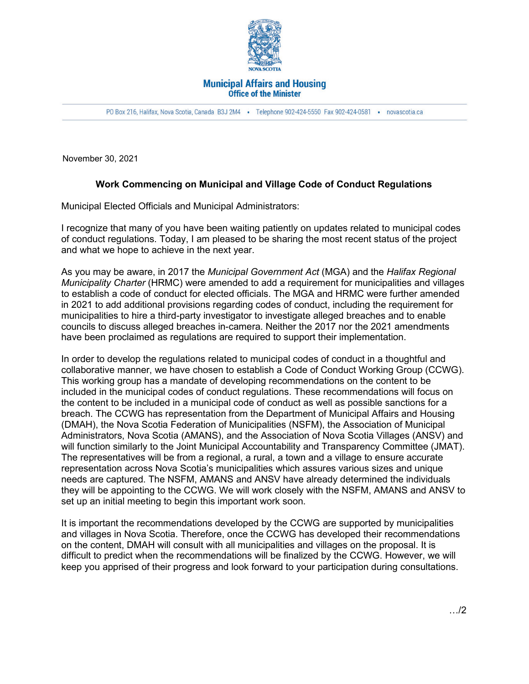

## **Municipal Affairs and Housing Office of the Minister**

PO Box 216, Halifax, Nova Scotia, Canada B3J 2M4 · Telephone 902-424-5550 Fax 902-424-0581 · novascotia.ca

November 30, 2021

## **Work Commencing on Municipal and Village Code of Conduct Regulations**

Municipal Elected Officials and Municipal Administrators:

I recognize that many of you have been waiting patiently on updates related to municipal codes of conduct regulations. Today, I am pleased to be sharing the most recent status of the project and what we hope to achieve in the next year.

As you may be aware, in 2017 the *Municipal Government Act* (MGA) and the *Halifax Regional Municipality Charter* (HRMC) were amended to add a requirement for municipalities and villages to establish a code of conduct for elected officials. The MGA and HRMC were further amended in 2021 to add additional provisions regarding codes of conduct, including the requirement for municipalities to hire a third-party investigator to investigate alleged breaches and to enable councils to discuss alleged breaches in-camera. Neither the 2017 nor the 2021 amendments have been proclaimed as regulations are required to support their implementation.

In order to develop the regulations related to municipal codes of conduct in a thoughtful and collaborative manner, we have chosen to establish a Code of Conduct Working Group (CCWG). This working group has a mandate of developing recommendations on the content to be included in the municipal codes of conduct regulations. These recommendations will focus on the content to be included in a municipal code of conduct as well as possible sanctions for a breach. The CCWG has representation from the Department of Municipal Affairs and Housing (DMAH), the Nova Scotia Federation of Municipalities (NSFM), the Association of Municipal Administrators, Nova Scotia (AMANS), and the Association of Nova Scotia Villages (ANSV) and will function similarly to the Joint Municipal Accountability and Transparency Committee (JMAT). The representatives will be from a regional, a rural, a town and a village to ensure accurate representation across Nova Scotia's municipalities which assures various sizes and unique needs are captured. The NSFM, AMANS and ANSV have already determined the individuals they will be appointing to the CCWG. We will work closely with the NSFM, AMANS and ANSV to set up an initial meeting to begin this important work soon.

It is important the recommendations developed by the CCWG are supported by municipalities and villages in Nova Scotia. Therefore, once the CCWG has developed their recommendations on the content, DMAH will consult with all municipalities and villages on the proposal. It is difficult to predict when the recommendations will be finalized by the CCWG. However, we will keep you apprised of their progress and look forward to your participation during consultations.